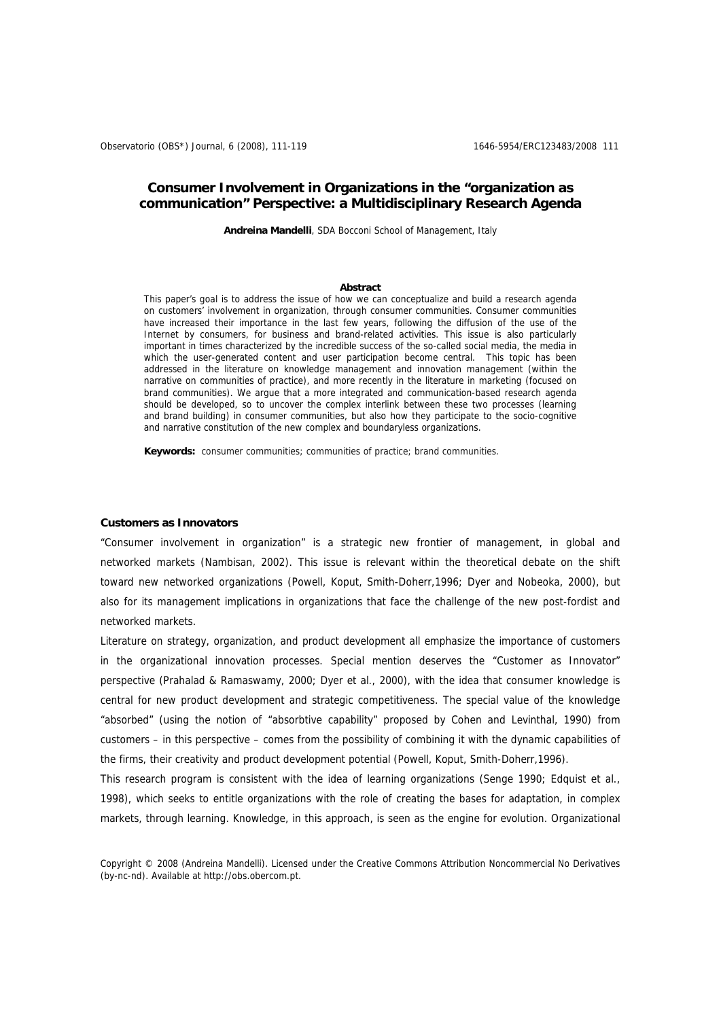# **Consumer Involvement in Organizations in the "organization as communication" Perspective: a Multidisciplinary Research Agenda**

**Andreina Mandelli**, SDA Bocconi School of Management, Italy

#### **Abstract**

This paper's goal is to address the issue of how we can conceptualize and build a research agenda on customers' involvement in organization, through consumer communities. Consumer communities have increased their importance in the last few years, following the diffusion of the use of the Internet by consumers, for business and brand-related activities. This issue is also particularly important in times characterized by the incredible success of the so-called social media, the media in which the user-generated content and user participation become central. This topic has been addressed in the literature on knowledge management and innovation management (within the narrative on communities of practice), and more recently in the literature in marketing (focused on brand communities). We argue that a more integrated and communication-based research agenda should be developed, so to uncover the complex interlink between these two processes (learning and brand building) in consumer communities, but also how they participate to the socio-cognitive and narrative constitution of the new complex and boundaryless organizations.

**Keywords:** consumer communities; communities of practice; brand communities.

#### **Customers as Innovators**

"Consumer involvement in organization" is a strategic new frontier of management, in global and networked markets (Nambisan, 2002). This issue is relevant within the theoretical debate on the shift toward new networked organizations (Powell, Koput, Smith-Doherr,1996; Dyer and Nobeoka, 2000), but also for its management implications in organizations that face the challenge of the new post-fordist and networked markets.

Literature on strategy, organization, and product development all emphasize the importance of customers in the organizational innovation processes. Special mention deserves the "Customer as Innovator" perspective (Prahalad & Ramaswamy, 2000; Dyer et al., 2000), with the idea that consumer knowledge is central for new product development and strategic competitiveness. The special value of the knowledge "absorbed" (using the notion of "absorbtive capability" proposed by Cohen and Levinthal, 1990) from customers – in this perspective – comes from the possibility of combining it with the dynamic capabilities of the firms, their creativity and product development potential (Powell, Koput, Smith-Doherr,1996).

This research program is consistent with the idea of learning organizations (Senge 1990; Edquist et al., 1998), which seeks to entitle organizations with the role of creating the bases for adaptation, in complex markets, through learning. Knowledge, in this approach, is seen as the engine for evolution. Organizational

Copyright © 2008 (Andreina Mandelli). Licensed under the Creative Commons Attribution Noncommercial No Derivatives (by-nc-nd). Available at http://obs.obercom.pt.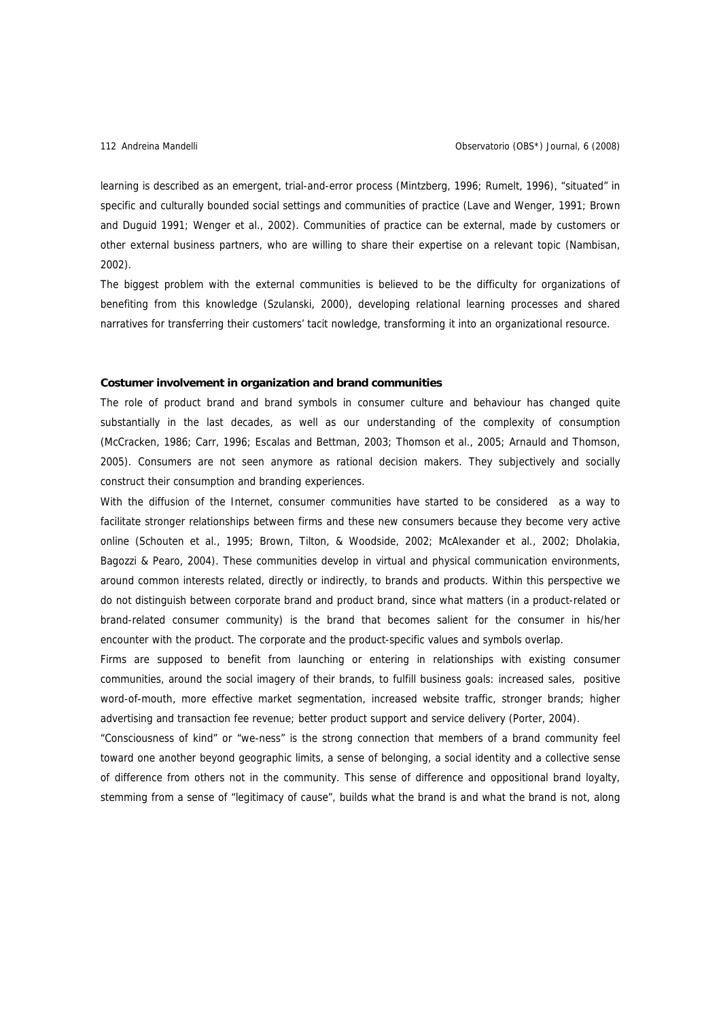learning is described as an emergent, trial-and-error process (Mintzberg, 1996; Rumelt, 1996), "situated" in specific and culturally bounded social settings and communities of practice (Lave and Wenger, 1991; Brown and Duguid 1991; Wenger et al., 2002). Communities of practice can be external, made by customers or other external business partners, who are willing to share their expertise on a relevant topic (Nambisan, 2002).

The biggest problem with the external communities is believed to be the difficulty for organizations of benefiting from this knowledge (Szulanski, 2000), developing relational learning processes and shared narratives for transferring their customers' tacit nowledge, transforming it into an organizational resource.

### **Costumer involvement in organization and brand communities**

The role of product brand and brand symbols in consumer culture and behaviour has changed quite substantially in the last decades, as well as our understanding of the complexity of consumption (McCracken, 1986; Carr, 1996; Escalas and Bettman, 2003; Thomson et al., 2005; Arnauld and Thomson, 2005). Consumers are not seen anymore as rational decision makers. They subjectively and socially construct their consumption and branding experiences.

With the diffusion of the Internet, consumer communities have started to be considered as a way to facilitate stronger relationships between firms and these new consumers because they become very active online (Schouten et al., 1995; Brown, Tilton, & Woodside, 2002; McAlexander et al., 2002; Dholakia, Bagozzi & Pearo, 2004). These communities develop in virtual and physical communication environments, around common interests related, directly or indirectly, to brands and products. Within this perspective we do not distinguish between corporate brand and product brand, since what matters (in a product-related or brand-related consumer community) is the brand that becomes salient for the consumer in his/her encounter with the product. The corporate and the product-specific values and symbols overlap.

Firms are supposed to benefit from launching or entering in relationships with existing consumer communities, around the social imagery of their brands, to fulfill business goals: increased sales, positive word-of-mouth, more effective market segmentation, increased website traffic, stronger brands; higher advertising and transaction fee revenue; better product support and service delivery (Porter, 2004).

"Consciousness of kind" or "we-ness" is the strong connection that members of a brand community feel toward one another beyond geographic limits, a sense of belonging, a social identity and a collective sense of difference from others not in the community. This sense of difference and oppositional brand loyalty, stemming from a sense of "legitimacy of cause", builds what the brand is and what the brand is not, along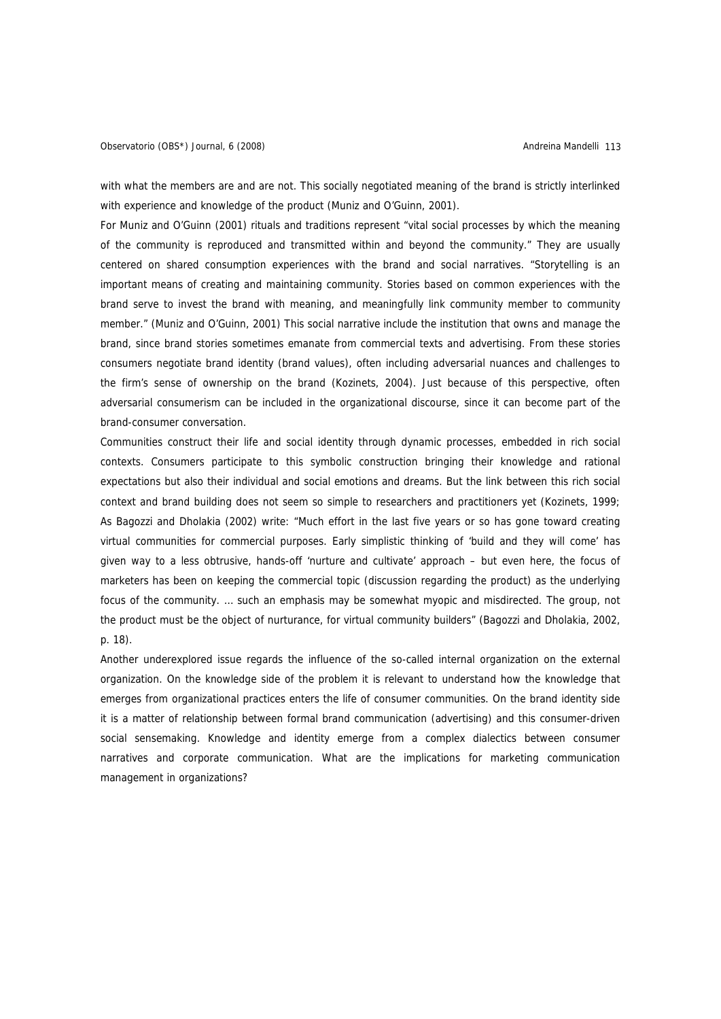with what the members are and are not. This socially negotiated meaning of the brand is strictly interlinked with experience and knowledge of the product (Muniz and O'Guinn, 2001).

For Muniz and O'Guinn (2001) rituals and traditions represent "vital social processes by which the meaning of the community is reproduced and transmitted within and beyond the community." They are usually centered on shared consumption experiences with the brand and social narratives. "Storytelling is an important means of creating and maintaining community. Stories based on common experiences with the brand serve to invest the brand with meaning, and meaningfully link community member to community member." (Muniz and O'Guinn, 2001) This social narrative include the institution that owns and manage the brand, since brand stories sometimes emanate from commercial texts and advertising. From these stories consumers negotiate brand identity (brand values), often including adversarial nuances and challenges to the firm's sense of ownership on the brand (Kozinets, 2004). Just because of this perspective, often adversarial consumerism can be included in the organizational discourse, since it can become part of the brand-consumer conversation.

Communities construct their life and social identity through dynamic processes, embedded in rich social contexts. Consumers participate to this symbolic construction bringing their knowledge and rational expectations but also their individual and social emotions and dreams. But the link between this rich social context and brand building does not seem so simple to researchers and practitioners yet (Kozinets, 1999; As Bagozzi and Dholakia (2002) write: "Much effort in the last five years or so has gone toward creating virtual communities for commercial purposes. Early simplistic thinking of 'build and they will come' has given way to a less obtrusive, hands-off 'nurture and cultivate' approach – but even here, the focus of marketers has been on keeping the commercial topic (discussion regarding the product) as the underlying focus of the community. … such an emphasis may be somewhat myopic and misdirected. The group, not the product must be the object of nurturance, for virtual community builders" (Bagozzi and Dholakia, 2002, p. 18).

Another underexplored issue regards the influence of the so-called internal organization on the external organization. On the knowledge side of the problem it is relevant to understand how the knowledge that emerges from organizational practices enters the life of consumer communities. On the brand identity side it is a matter of relationship between formal brand communication (advertising) and this consumer-driven social sensemaking. Knowledge and identity emerge from a complex dialectics between consumer narratives and corporate communication. What are the implications for marketing communication management in organizations?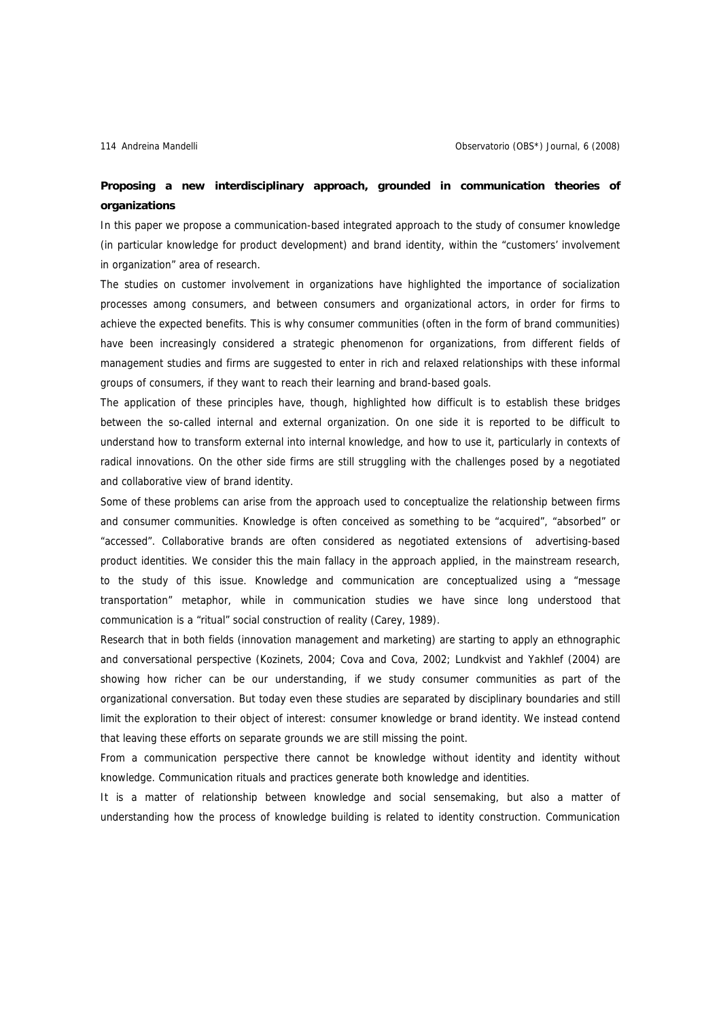# **Proposing a new interdisciplinary approach, grounded in communication theories of organizations**

In this paper we propose a communication-based integrated approach to the study of consumer knowledge (in particular knowledge for product development) and brand identity, within the "customers' involvement in organization" area of research.

The studies on customer involvement in organizations have highlighted the importance of socialization processes among consumers, and between consumers and organizational actors, in order for firms to achieve the expected benefits. This is why consumer communities (often in the form of brand communities) have been increasingly considered a strategic phenomenon for organizations, from different fields of management studies and firms are suggested to enter in rich and relaxed relationships with these informal groups of consumers, if they want to reach their learning and brand-based goals.

The application of these principles have, though, highlighted how difficult is to establish these bridges between the so-called internal and external organization. On one side it is reported to be difficult to understand how to transform external into internal knowledge, and how to use it, particularly in contexts of radical innovations. On the other side firms are still struggling with the challenges posed by a negotiated and collaborative view of brand identity.

Some of these problems can arise from the approach used to conceptualize the relationship between firms and consumer communities. Knowledge is often conceived as something to be "acquired", "absorbed" or "accessed". Collaborative brands are often considered as negotiated extensions of advertising-based product identities. We consider this the main fallacy in the approach applied, in the mainstream research, to the study of this issue. Knowledge and communication are conceptualized using a "message transportation" metaphor, while in communication studies we have since long understood that communication is a "ritual" social construction of reality (Carey, 1989).

Research that in both fields (innovation management and marketing) are starting to apply an ethnographic and conversational perspective (Kozinets, 2004; Cova and Cova, 2002; Lundkvist and Yakhlef (2004) are showing how richer can be our understanding, if we study consumer communities as part of the organizational conversation. But today even these studies are separated by disciplinary boundaries and still limit the exploration to their object of interest: consumer knowledge or brand identity. We instead contend that leaving these efforts on separate grounds we are still missing the point.

From a communication perspective there cannot be knowledge without identity and identity without knowledge. Communication rituals and practices generate both knowledge and identities.

It is a matter of relationship between knowledge and social sensemaking, but also a matter of understanding how the process of knowledge building is related to identity construction. Communication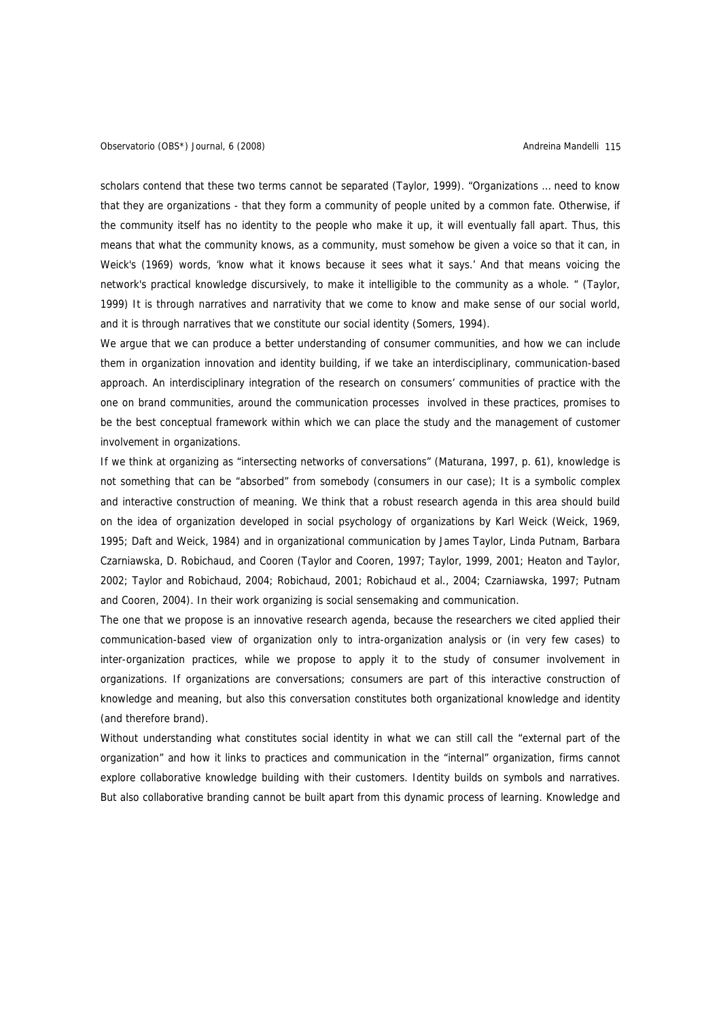scholars contend that these two terms cannot be separated (Taylor, 1999). "Organizations … need to know that they are organizations - that they form a community of people united by a common fate. Otherwise, if the community itself has no identity to the people who make it up, it will eventually fall apart. Thus, this means that what the community knows, as a community, must somehow be given a voice so that it can, in Weick's (1969) words, 'know what it knows because it sees what it says.' And that means voicing the network's practical knowledge discursively, to make it intelligible to the community as a whole. " (Taylor, 1999) It is through narratives and narrativity that we come to know and make sense of our social world, and it is through narratives that we constitute our social identity (Somers, 1994).

We argue that we can produce a better understanding of consumer communities, and how we can include them in organization innovation and identity building, if we take an interdisciplinary, communication-based approach. An interdisciplinary integration of the research on consumers' communities of practice with the one on brand communities, around the communication processes involved in these practices, promises to be the best conceptual framework within which we can place the study and the management of customer involvement in organizations.

If we think at organizing as "intersecting networks of conversations" (Maturana, 1997, p. 61), knowledge is not something that can be "absorbed" from somebody (consumers in our case); It is a symbolic complex and interactive construction of meaning. We think that a robust research agenda in this area should build on the idea of organization developed in social psychology of organizations by Karl Weick (Weick, 1969, 1995; Daft and Weick, 1984) and in organizational communication by James Taylor, Linda Putnam, Barbara Czarniawska, D. Robichaud, and Cooren (Taylor and Cooren, 1997; Taylor, 1999, 2001; Heaton and Taylor, 2002; Taylor and Robichaud, 2004; Robichaud, 2001; Robichaud et al., 2004; Czarniawska, 1997; Putnam and Cooren, 2004). In their work organizing is social sensemaking and communication.

The one that we propose is an innovative research agenda, because the researchers we cited applied their communication-based view of organization only to intra-organization analysis or (in very few cases) to inter-organization practices, while we propose to apply it to the study of consumer involvement in organizations. If organizations are conversations; consumers are part of this interactive construction of knowledge and meaning, but also this conversation constitutes both organizational knowledge and identity (and therefore brand).

Without understanding what constitutes social identity in what we can still call the "external part of the organization" and how it links to practices and communication in the "internal" organization, firms cannot explore collaborative knowledge building with their customers. Identity builds on symbols and narratives. But also collaborative branding cannot be built apart from this dynamic process of learning. Knowledge and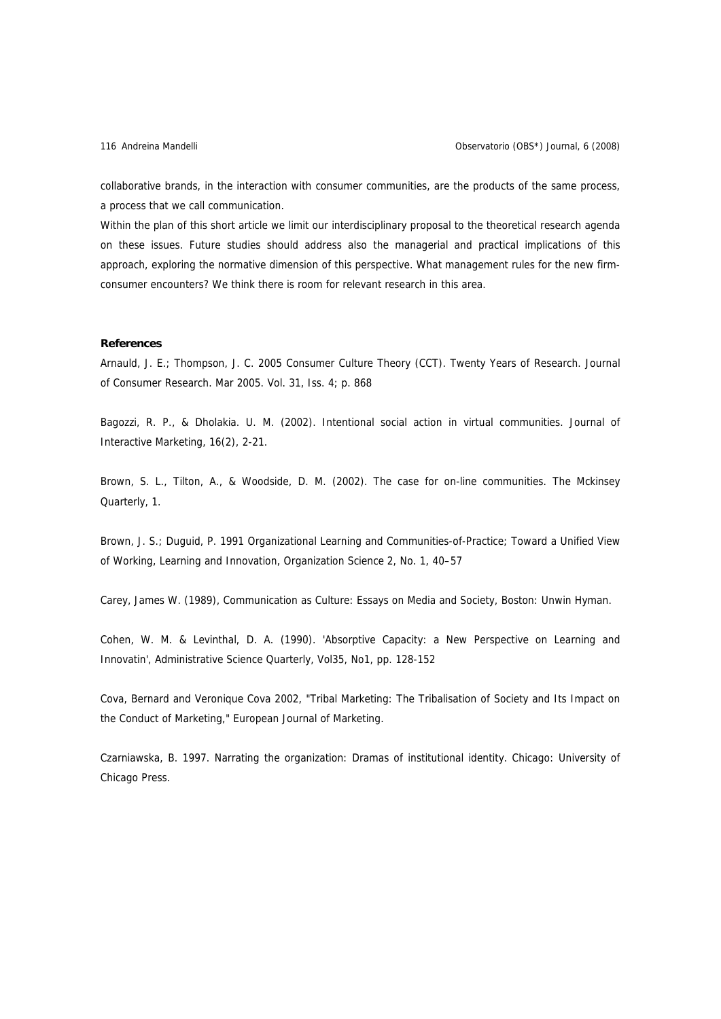collaborative brands, in the interaction with consumer communities, are the products of the same process, a process that we call communication.

Within the plan of this short article we limit our interdisciplinary proposal to the theoretical research agenda on these issues. Future studies should address also the managerial and practical implications of this approach, exploring the normative dimension of this perspective. What management rules for the new firmconsumer encounters? We think there is room for relevant research in this area.

## **References**

Arnauld, J. E.; Thompson, J. C. 2005 Consumer Culture Theory (CCT). Twenty Years of Research. Journal of Consumer Research. Mar 2005. Vol. 31, Iss. 4; p. 868

Bagozzi, R. P., & Dholakia. U. M. (2002). Intentional social action in virtual communities. Journal of Interactive Marketing, 16(2), 2-21.

Brown, S. L., Tilton, A., & Woodside, D. M. (2002). The case for on-line communities. The Mckinsey Quarterly, 1.

Brown, J. S.; Duguid, P. 1991 Organizational Learning and Communities-of-Practice; Toward a Unified View of Working, Learning and Innovation, Organization Science 2, No. 1, 40–57

Carey, James W. (1989), Communication as Culture: Essays on Media and Society, Boston: Unwin Hyman.

Cohen, W. M. & Levinthal, D. A. (1990). 'Absorptive Capacity: a New Perspective on Learning and Innovatin', Administrative Science Quarterly, Vol35, No1, pp. 128-152

Cova, Bernard and Veronique Cova 2002, "Tribal Marketing: The Tribalisation of Society and Its Impact on the Conduct of Marketing," European Journal of Marketing.

Czarniawska, B. 1997. Narrating the organization: Dramas of institutional identity. Chicago: University of Chicago Press.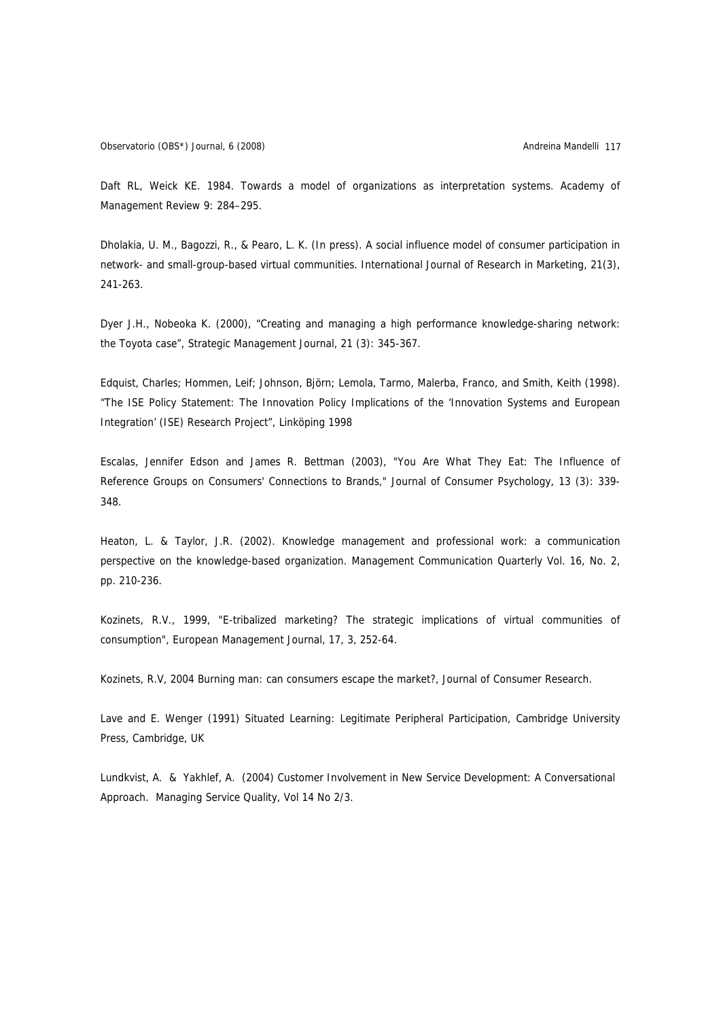Daft RL, Weick KE. 1984. Towards a model of organizations as interpretation systems. Academy of Management Review 9: 284–295.

Dholakia, U. M., Bagozzi, R., & Pearo, L. K. (In press). A social influence model of consumer participation in network- and small-group-based virtual communities. International Journal of Research in Marketing, 21(3), 241-263.

Dyer J.H., Nobeoka K. (2000), "Creating and managing a high performance knowledge-sharing network: the Toyota case", Strategic Management Journal, 21 (3): 345-367.

Edquist, Charles; Hommen, Leif; Johnson, Björn; Lemola, Tarmo, Malerba, Franco, and Smith, Keith (1998). "The ISE Policy Statement: The Innovation Policy Implications of the 'Innovation Systems and European Integration' (ISE) Research Project", Linköping 1998

Escalas, Jennifer Edson and James R. Bettman (2003), "You Are What They Eat: The Influence of Reference Groups on Consumers' Connections to Brands," Journal of Consumer Psychology, 13 (3): 339- 348.

Heaton, L. & Taylor, J.R. (2002). Knowledge management and professional work: a communication perspective on the knowledge-based organization. Management Communication Quarterly Vol. 16, No. 2, pp. 210-236.

Kozinets, R.V., 1999, "E-tribalized marketing? The strategic implications of virtual communities of consumption", European Management Journal, 17, 3, 252-64.

Kozinets, R.V, 2004 Burning man: can consumers escape the market?, Journal of Consumer Research.

Lave and E. Wenger (1991) Situated Learning: Legitimate Peripheral Participation, Cambridge University Press, Cambridge, UK

Lundkvist, A. & Yakhlef, A. (2004) Customer Involvement in New Service Development: A Conversational Approach. Managing Service Quality, Vol 14 No 2/3.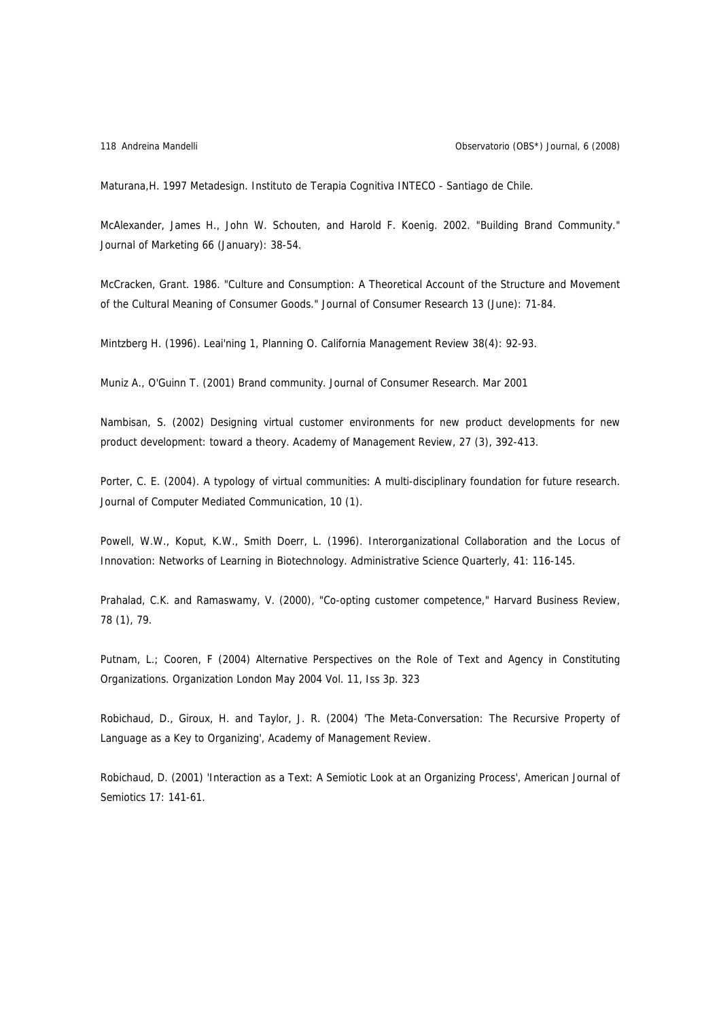Maturana,H. 1997 Metadesign. Instituto de Terapia Cognitiva INTECO - Santiago de Chile.

McAlexander, James H., John W. Schouten, and Harold F. Koenig. 2002. "Building Brand Community." Journal of Marketing 66 (January): 38-54.

McCracken, Grant. 1986. "Culture and Consumption: A Theoretical Account of the Structure and Movement of the Cultural Meaning of Consumer Goods." Journal of Consumer Research 13 (June): 71-84.

Mintzberg H. (1996). Leai'ning 1, Planning O. California Management Review 38(4): 92-93.

Muniz A., O'Guinn T. (2001) Brand community. Journal of Consumer Research. Mar 2001

Nambisan, S. (2002) Designing virtual customer environments for new product developments for new product development: toward a theory. Academy of Management Review, 27 (3), 392-413.

Porter, C. E. (2004). A typology of virtual communities: A multi-disciplinary foundation for future research. Journal of Computer Mediated Communication, 10 (1).

Powell, W.W., Koput, K.W., Smith Doerr, L. (1996). Interorganizational Collaboration and the Locus of Innovation: Networks of Learning in Biotechnology. Administrative Science Quarterly, 41: 116-145.

Prahalad, C.K. and Ramaswamy, V. (2000), "Co-opting customer competence," Harvard Business Review, 78 (1), 79.

Putnam, L.; Cooren, F (2004) Alternative Perspectives on the Role of Text and Agency in Constituting Organizations. Organization London May 2004 Vol. 11, Iss 3p. 323

Robichaud, D., Giroux, H. and Taylor, J. R. (2004) 'The Meta-Conversation: The Recursive Property of Language as a Key to Organizing', Academy of Management Review.

Robichaud, D. (2001) 'Interaction as a Text: A Semiotic Look at an Organizing Process', American Journal of Semiotics 17: 141-61.